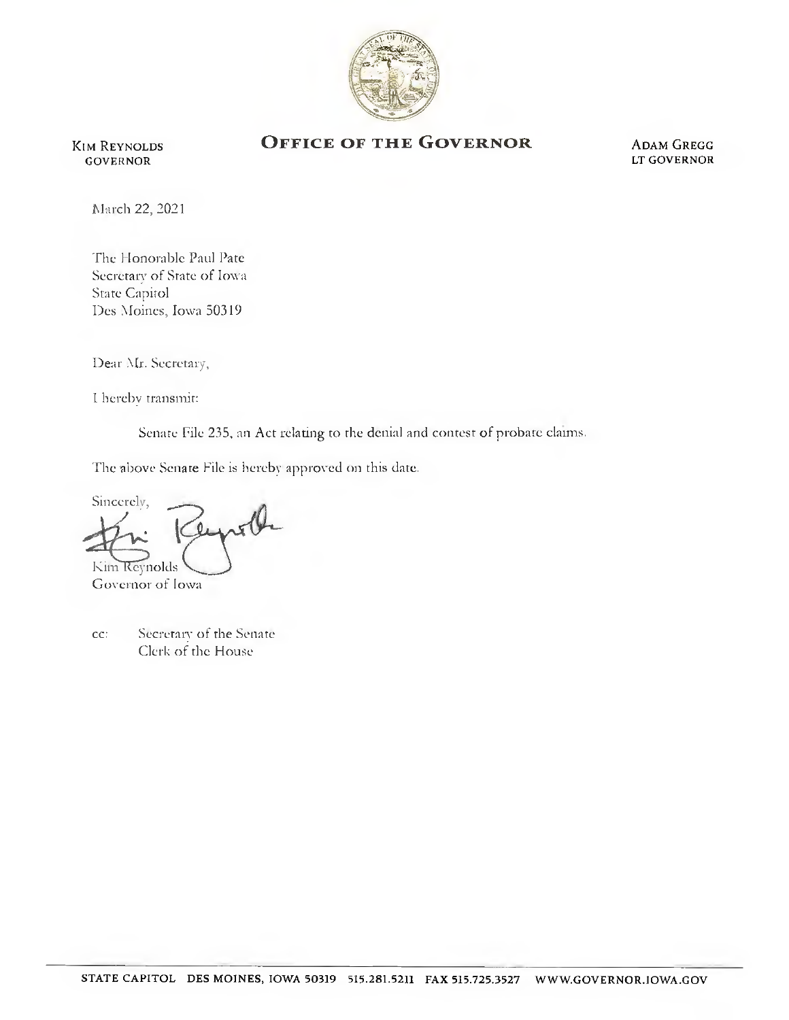

Kim Reynolds GOVERNOR

## OFFICE OF THE GOVERNOR ADAM GREGG

LT governor

March 22,2021

The Honorable Paul Pate Secretary' of State of Iowa State Capitol Des Moincs, Iowa 50319

Dear Mr. Secretarv,

I hereby transmit:

Senate File 235, an Act relating to the denial and contest of probate claims.

The above Senate File is hereby approved on this date.

Sincerelv, :  $0.$ Kim Reynolds

Governor of Iowa

cc: Secretary of the Senate Clerk of the House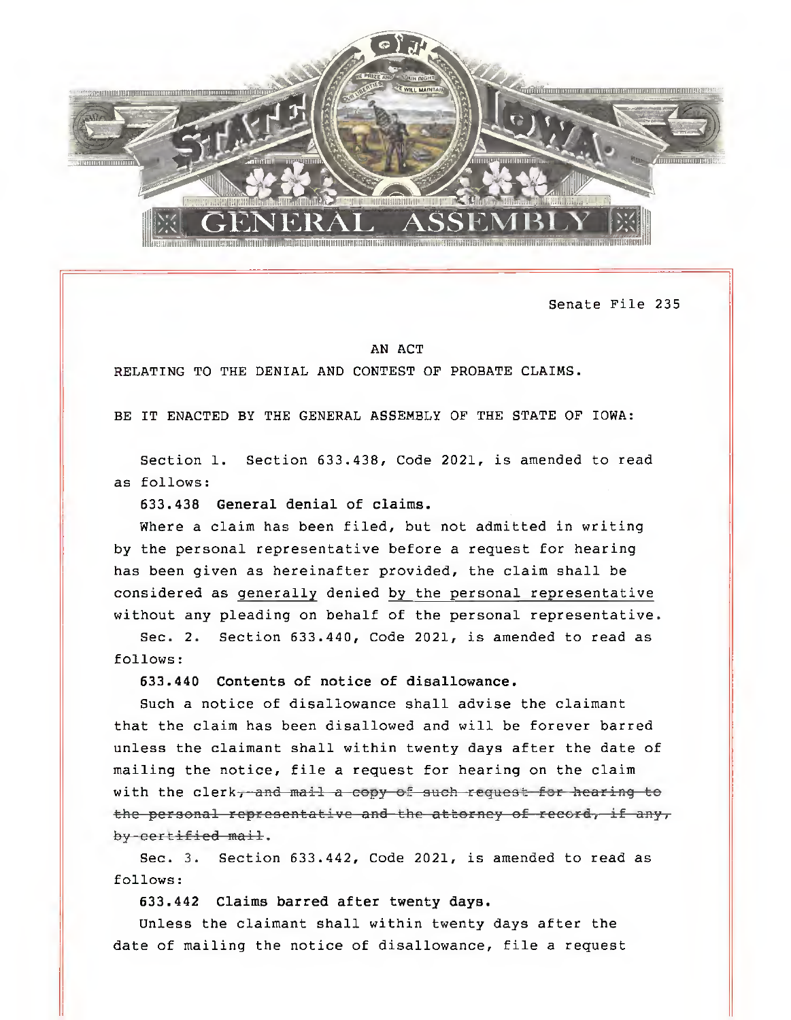

Senate File 235

## AN ACT

RELATING TO THE DENIAL AND CONTEST OF PROBATE CLAIMS.

BE IT ENACTED BY THE GENERAL ASSEMBLY OF THE STATE OF IOWA;

Section 1. Section 633.438, Code 2021, is amended to read as follows:

633.438 General denial of claims.

Where a claim has been filed, but not admitted in writing by the personal representative before a request for hearing has been given as hereinafter provided, the claim shall be considered as generally denied by the personal representative without any pleading on behalf of the personal representative.

Sec. 2. Section 633.440, Code 2021, is amended to read as follows:

633.440 Contents of notice of disallowance.

Such a notice of disallowance shall advise the claimant that the claim has been disallowed and will be forever barred unless the claimant shall within twenty days after the date of mailing the notice, file a request for hearing on the claim with the clerk-and mail a copy of such request for hearing to the personal representative and the attorney of record, if any, by certified mail.

Sec. 3. Section 633.442, Code 2021, is amended to read as follows:

633.442 Claims barred after twenty days.

Unless the claimant shall within twenty days after the date of mailing the notice of disallowance, file a request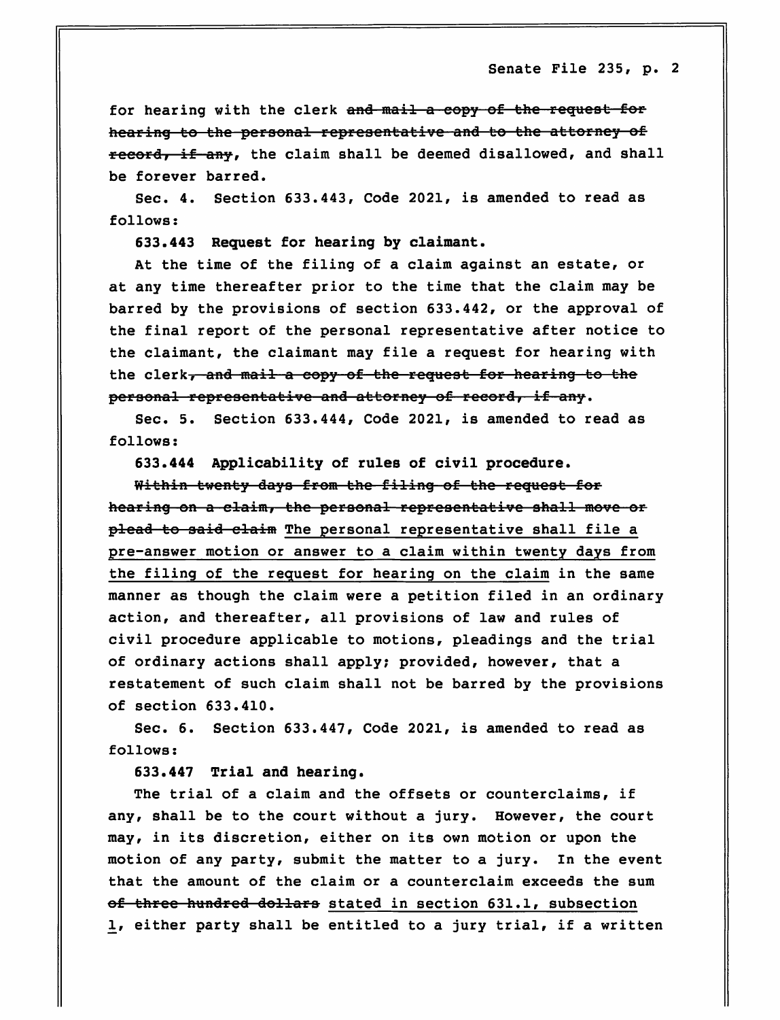Senate File 235, p. 2

for hearing with the clerk and mail a copy of the request for hearing to the personal representative and to the attorney of record, if any, the claim shall be deemed disallowed, and shall be forever barred.

Sec. 4. Section 633.443, Code 2021, is amended to read as follows:

633.443 Request for hearing by claimant.

At the time of the filing of a claim against an estate, or at any time thereafter prior to the time that the claim may be barred by the provisions of section 633.442, or the approval of the final report of the personal representative after notice to the claimant, the claimant may file a request for hearing with the clerk, and mail a copy of the request for hearing to the personal representative and attorney of record, if any.

Sec. 5. Section 633.444, Code 2021, is amended to read as follows:

633.444 Applicability of rules of civil procedure.

Within twenty days from the filing of the request for hearing on a claim/ the personal representative shall move or plead to said claim The personal representative shall file a pre-answer motion or answer to a claim within twenty days from the filing of the request for hearing on the claim in the same manner as though the claim were a petition filed in an ordinary action, and thereafter, all provisions of law and rules of civil procedure applicable to motions, pleadings and the trial of ordinary actions shall apply; provided, however, that a restatement of such claim shall not be barred by the provisions of section 633.410.

Sec. 6. Section 633.447, Code 2021, is amended to read as follows:

633.447 Trial and hearing.

The trial of a claim and the offsets or counterclaims, if any, shall be to the court without a jury. However, the court may, in its discretion, either on its own motion or upon the motion of any party, submit the matter to a jury. In the event that the amount of the claim or a counterclaim exceeds the sum of three hundred dollars stated in section 631.1, subsection 1, either party shall be entitled to a jury trial, if a written